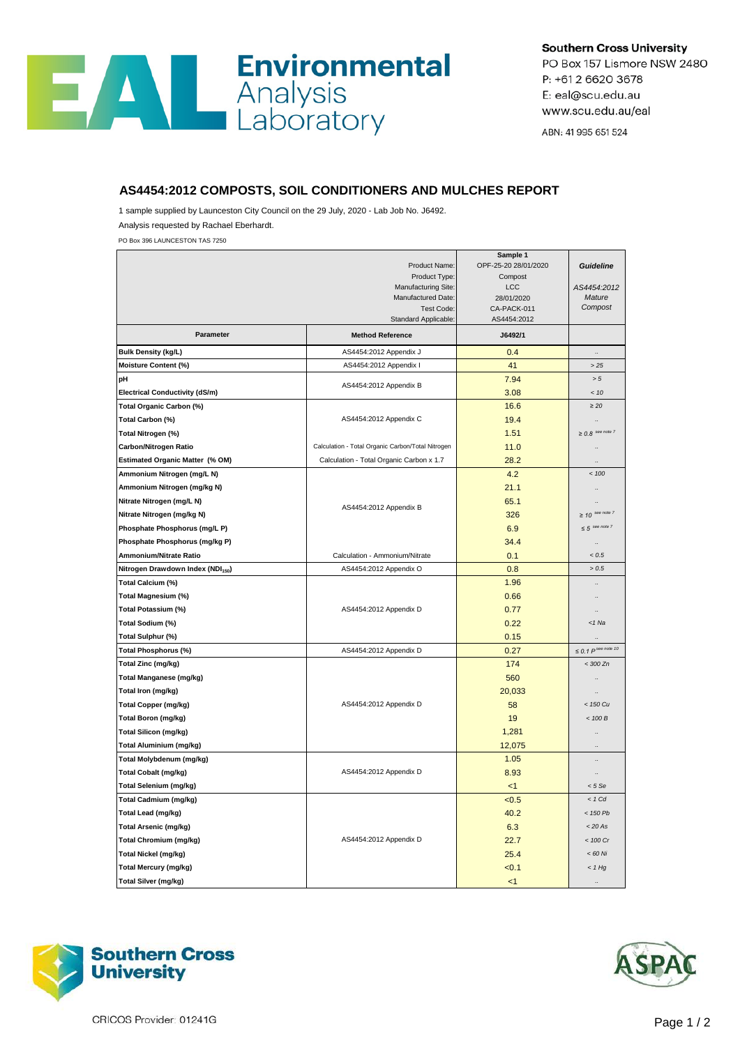## **Environmental**<br>Analysis<br>Laboratory **AN**

**Southern Cross University** 

PO Box 157 Lismore NSW 2480 P: +61 2 6620 3678 E: eal@scu.edu.au www.scu.edu.au/eal

ABN: 41 995 651 524

## **AS4454:2012 COMPOSTS, SOIL CONDITIONERS AND MULCHES REPORT**

1 sample supplied by Launceston City Council on the 29 July, 2020 - Lab Job No. J6492. Analysis requested by Rachael Eberhardt.

PO Box 396 LAUNCESTON TAS 7250

|                                               |                                                   | Sample 1                        |                          |
|-----------------------------------------------|---------------------------------------------------|---------------------------------|--------------------------|
|                                               | Product Name:<br>Product Type:                    | OPF-25-20 28/01/2020<br>Compost | <b>Guideline</b>         |
|                                               | Manufacturing Site:                               | <b>LCC</b>                      | AS4454:2012              |
|                                               | Manufactured Date:                                | 28/01/2020                      | Mature                   |
|                                               | Test Code:                                        | CA-PACK-011                     | Compost                  |
|                                               | Standard Applicable:                              | AS4454:2012                     |                          |
| Parameter                                     | <b>Method Reference</b>                           | J6492/1                         |                          |
| <b>Bulk Density (kg/L)</b>                    | AS4454:2012 Appendix J                            | 0.4                             | $\ddot{\phantom{a}}$     |
| Moisture Content (%)                          | AS4454:2012 Appendix I                            | 41                              | >25                      |
| pH                                            | AS4454:2012 Appendix B                            | 7.94                            | > 5                      |
| <b>Electrical Conductivity (dS/m)</b>         |                                                   | 3.08                            | < 10                     |
| Total Organic Carbon (%)                      |                                                   | 16.6                            | $\geq 20$                |
| Total Carbon (%)                              | AS4454:2012 Appendix C                            | 19.4                            |                          |
| Total Nitrogen (%)                            |                                                   | 1.51                            | $\geq 0.8$ see note 7    |
| <b>Carbon/Nitrogen Ratio</b>                  | Calculation - Total Organic Carbon/Total Nitrogen | 11.0                            |                          |
| <b>Estimated Organic Matter (% OM)</b>        | Calculation - Total Organic Carbon x 1.7          | 28.2                            | $\ddot{\phantom{a}}$     |
| Ammonium Nitrogen (mg/L N)                    |                                                   | 4.2                             | < 100                    |
| Ammonium Nitrogen (mg/kg N)                   |                                                   | 21.1                            |                          |
| Nitrate Nitrogen (mg/L N)                     | AS4454:2012 Appendix B                            | 65.1                            |                          |
| Nitrate Nitrogen (mg/kg N)                    |                                                   | 326                             | $\geq$ 10 see note 7     |
| Phosphate Phosphorus (mg/L P)                 |                                                   | 6.9                             | $\leq 5$ see note 7      |
| Phosphate Phosphorus (mg/kg P)                |                                                   | 34.4                            | $\ddot{\phantom{a}}$     |
| Ammonium/Nitrate Ratio                        | Calculation - Ammonium/Nitrate                    | 0.1                             | < 0.5                    |
| Nitrogen Drawdown Index (NDI <sub>150</sub> ) | AS4454:2012 Appendix O                            | 0.8                             | > 0.5                    |
| Total Calcium (%)                             |                                                   | 1.96                            |                          |
| Total Magnesium (%)                           |                                                   | 0.66                            |                          |
| Total Potassium (%)                           | AS4454:2012 Appendix D                            | 0.77                            |                          |
| Total Sodium (%)                              |                                                   | 0.22                            | $<$ 1 Na                 |
| Total Sulphur (%)                             |                                                   | 0.15                            | $\ddot{\phantom{a}}$     |
| <b>Total Phosphorus (%)</b>                   | AS4454:2012 Appendix D                            | 0.27                            | $\leq 0.1$ P see note 10 |
| Total Zinc (mg/kg)                            |                                                   | 174                             | $<$ 300 Zn               |
| Total Manganese (mg/kg)                       |                                                   | 560                             |                          |
| Total Iron (mg/kg)                            |                                                   | 20,033                          |                          |
| <b>Total Copper (mg/kg)</b>                   | AS4454:2012 Appendix D                            | 58                              | $<$ 150 Cu               |
| <b>Total Boron (mg/kg)</b>                    |                                                   | 19                              | < 100 B                  |
| <b>Total Silicon (mg/kg)</b>                  |                                                   | 1,281                           |                          |
| <b>Total Aluminium (mg/kg)</b>                |                                                   | 12,075                          | $\ddot{\phantom{a}}$     |
| Total Molybdenum (mg/kg)                      |                                                   | 1.05                            |                          |
| <b>Total Cobalt (mg/kg)</b>                   | AS4454:2012 Appendix D                            | 8.93                            |                          |
| Total Selenium (mg/kg)                        |                                                   | $<$ 1                           | < 5 Se                   |
| <b>Total Cadmium (mg/kg)</b>                  |                                                   | < 0.5                           | $< 1$ Cd                 |
| Total Lead (mg/kg)                            |                                                   | 40.2                            | < 150 Pb                 |
| <b>Total Arsenic (mg/kg)</b>                  |                                                   | 6.3                             | < 20 As                  |
| <b>Total Chromium (mg/kg)</b>                 | AS4454:2012 Appendix D                            | 22.7                            | < 100 Cr                 |
| Total Nickel (mg/kg)                          |                                                   | 25.4                            | < 60 Ni                  |
| <b>Total Mercury (mg/kg)</b>                  |                                                   | 50.1                            | $<$ 1 Hg                 |
| <b>Total Silver (mg/kg)</b>                   |                                                   | $<$ 1                           | $\ddotsc$                |